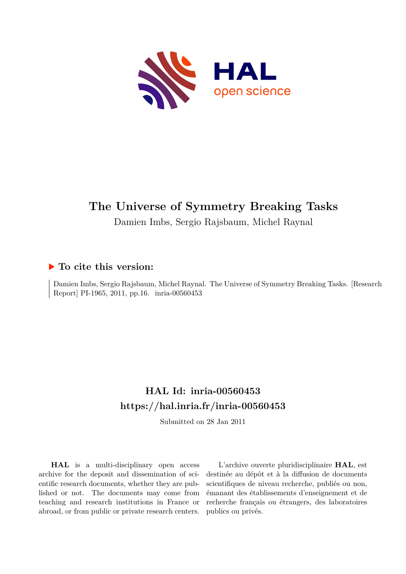

# **The Universe of Symmetry Breaking Tasks**

Damien Imbs, Sergio Rajsbaum, Michel Raynal

# **To cite this version:**

Damien Imbs, Sergio Rajsbaum, Michel Raynal. The Universe of Symmetry Breaking Tasks. [Research Report] PI-1965, 2011, pp.16. inria-00560453

# **HAL Id: inria-00560453 <https://hal.inria.fr/inria-00560453>**

Submitted on 28 Jan 2011

**HAL** is a multi-disciplinary open access archive for the deposit and dissemination of scientific research documents, whether they are published or not. The documents may come from teaching and research institutions in France or abroad, or from public or private research centers.

L'archive ouverte pluridisciplinaire **HAL**, est destinée au dépôt et à la diffusion de documents scientifiques de niveau recherche, publiés ou non, émanant des établissements d'enseignement et de recherche français ou étrangers, des laboratoires publics ou privés.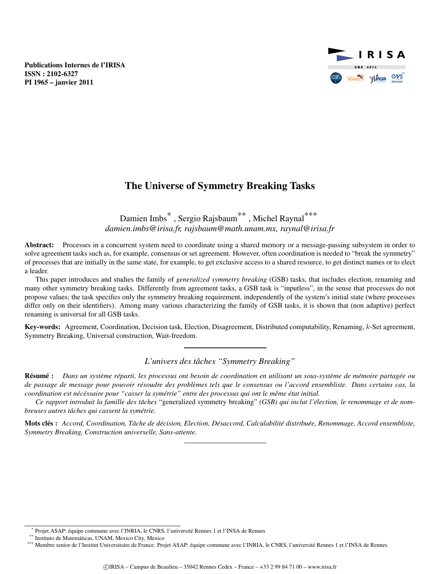Publications Internes de l'IRISA ISSN : 2102-6327 PI 1965 – janvier 2011



# The Universe of Symmetry Breaking Tasks

Damien Imbs<sup>\*</sup>, Sergio Rajsbaum<sup>\*\*</sup>, Michel Raynal<sup>\*\*\*</sup> *damien.imbs@irisa.fr, rajsbaum@math.unam.mx, raynal@irisa.fr*

Abstract: Processes in a concurrent system need to coordinate using a shared memory or a message-passing subsystem in order to solve agreement tasks such as, for example, consensus or set agreement. However, often coordination is needed to "break the symmetry" of processes that are initially in the same state, for example, to get exclusive access to a shared resource, to get distinct names or to elect a leader.

This paper introduces and studies the family of *generalized symmetry breaking* (GSB) tasks, that includes election, renaming and many other symmetry breaking tasks. Differently from agreement tasks, a GSB task is "inputless", in the sense that processes do not propose values; the task specifies only the symmetry breaking requirement, independently of the system's initial state (where processes differ only on their identifiers). Among many various characterizing the family of GSB tasks, it is shown that (non adaptive) perfect renaming is universal for all GSB tasks.

Key-words: Agreement, Coordination, Decision task, Election, Disagreement, Distributed computability, Renaming, k-Set agreement, Symmetry Breaking, Universal construction, Wait-freedom.

*L'univers des taches "Symmetry Breaking" ˆ*

**Résumé :** Dans un système réparti, les processus ont besoin de coordination en utilisant un sous-système de mémoire partagée ou *de passage de message pour pouvoir resoudre des probl ´ emes tels que le consensus ou l'accord ensembliste. Dans certains cas, la ` coordination est nec´ essaire pour "casser la sym ´ etrie" entre des processus qui ont le m ´ eme ˆ etat initial. ´*

*Ce rapport introduit la famille des taches ˆ* "generalized symmetry breaking" *(GSB) qui inclut l'election, le renommage et de nom- ´ breuses autres tâches qui cassent la symétrie.* 

Mots cles : ´ *Accord, Coordination, Tache de d ˆ ecision, Election, D ´ esaccord, Calculabilit ´ e distribu ´ ee, Renommage, Accord ensembliste, ´ Symmetry Breaking, Construction universelle, Sans-attente.*

Projet ASAP: équipe commune avec l'INRIA, le CNRS, l'université Rennes 1 et l'INSA de Rennes

<sup>\*\*</sup> Instituto de Matematicas, UNAM, Mexico City, Mexico ´

<sup>\*\*\*</sup> Membre senior de l'Institut Universitaire de France. Projet ASAP: équipe commune avec l'INRIA, le CNRS, l'université Rennes 1 et l'INSA de Rennes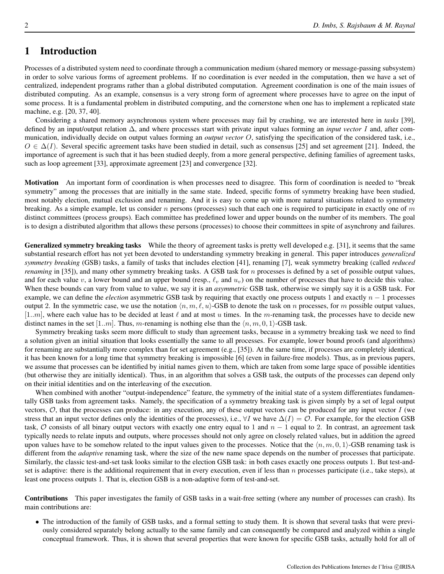# 1 Introduction

Processes of a distributed system need to coordinate through a communication medium (shared memory or message-passing subsystem) in order to solve various forms of agreement problems. If no coordination is ever needed in the computation, then we have a set of centralized, independent programs rather than a global distributed computation. Agreement coordination is one of the main issues of distributed computing. As an example, consensus is a very strong form of agreement where processes have to agree on the input of some process. It is a fundamental problem in distributed computing, and the cornerstone when one has to implement a replicated state machine, e.g. [20, 37, 40].

Considering a shared memory asynchronous system where processes may fail by crashing, we are interested here in *tasks* [39], defined by an input/output relation ∆, and where processes start with private input values forming an *input vector* I and, after communication, individually decide on output values forming an *output vector* O, satisfying the specification of the considered task, i.e.,  $O \in \Delta(I)$ . Several specific agreement tasks have been studied in detail, such as consensus [25] and set agreement [21]. Indeed, the importance of agreement is such that it has been studied deeply, from a more general perspective, defining families of agreement tasks, such as loop agreement [33], approximate agreement [23] and convergence [32].

Motivation An important form of coordination is when processes need to disagree. This form of coordination is needed to "break symmetry" among the processes that are initially in the same state. Indeed, specific forms of symmetry breaking have been studied, most notably election, mutual exclusion and renaming. And it is easy to come up with more natural situations related to symmetry breaking. As a simple example, let us consider  $n$  persons (processes) such that each one is required to participate in exactly one of  $m$ distinct committees (process groups). Each committee has predefined lower and upper bounds on the number of its members. The goal is to design a distributed algorithm that allows these persons (processes) to choose their committees in spite of asynchrony and failures.

Generalized symmetry breaking tasks While the theory of agreement tasks is pretty well developed e.g. [31], it seems that the same substantial research effort has not yet been devoted to understanding symmetry breaking in general. This paper introduces *generalized symmetry breaking* (GSB) tasks, a family of tasks that includes election [41], renaming [7], weak symmetry breaking (called *reduced renaming* in [35]), and many other symmetry breaking tasks. A GSB task for *n* processes is defined by a set of possible output values, and for each value v, a lower bound and an upper bound (resp.,  $\ell_v$  and  $u_v$ ) on the number of processes that have to decide this value. When these bounds can vary from value to value, we say it is an *asymmetric* GSB task, otherwise we simply say it is a GSB task. For example, we can define the *election* asymmetric GSB task by requiring that exactly one process outputs 1 and exactly  $n - 1$  processes output 2. In the symmetric case, we use the notation  $\langle n, m, \ell, u \rangle$ -GSB to denote the task on n processes, for m possible output values,  $[1..m]$ , where each value has to be decided at least  $\ell$  and at most u times. In the m-renaming task, the processes have to decide new distinct names in the set [1..m]. Thus, m-renaming is nothing else than the  $\langle n, m, 0, 1 \rangle$ -GSB task.

Symmetry breaking tasks seem more difficult to study than agreement tasks, because in a symmetry breaking task we need to find a solution given an initial situation that looks essentially the same to all processes. For example, lower bound proofs (and algorithms) for renaming are substantially more complex than for set agreement (e.g., [35]). At the same time, if processes are completely identical, it has been known for a long time that symmetry breaking is impossible [6] (even in failure-free models). Thus, as in previous papers, we assume that processes can be identified by initial names given to them, which are taken from some large space of possible identities (but otherwise they are initially identical). Thus, in an algorithm that solves a GSB task, the outputs of the processes can depend only on their initial identities and on the interleaving of the execution.

When combined with another "output-independence" feature, the symmetry of the initial state of a system differentiates fundamentally GSB tasks from agreement tasks. Namely, the specification of a symmetry breaking task is given simply by a set of legal output vectors,  $O$ , that the processes can produce: in any execution, any of these output vectors can be produced for any input vector  $I$  (we stress that an input vector defines only the identities of the processes), i.e.,  $\forall I$  we have  $\Delta(I) = \mathcal{O}$ . For example, for the election GSB task,  $\mathcal O$  consists of all binary output vectors with exactly one entry equal to 1 and  $n - 1$  equal to 2. In contrast, an agreement task typically needs to relate inputs and outputs, where processes should not only agree on closely related values, but in addition the agreed upon values have to be somehow related to the input values given to the processes. Notice that the  $\langle n, m, 0, 1 \rangle$ -GSB renaming task is different from the *adaptive* renaming task, where the size of the new name space depends on the number of processes that participate. Similarly, the classic test-and-set task looks similar to the election GSB task: in both cases exactly one process outputs 1. But test-andset is adaptive: there is the additional requirement that in every execution, even if less than  $n$  processes participate (i.e., take steps), at least one process outputs 1. That is, election GSB is a non-adaptive form of test-and-set.

Contributions This paper investigates the family of GSB tasks in a wait-free setting (where any number of processes can crash). Its main contributions are:

• The introduction of the family of GSB tasks, and a formal setting to study them. It is shown that several tasks that were previously considered separately belong actually to the same family and can consequently be compared and analyzed within a single conceptual framework. Thus, it is shown that several properties that were known for specific GSB tasks, actually hold for all of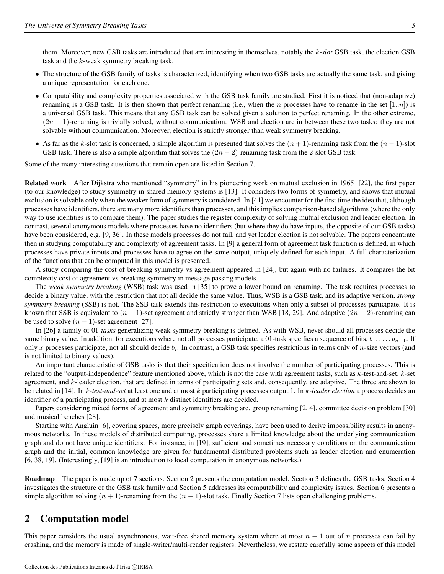them. Moreover, new GSB tasks are introduced that are interesting in themselves, notably the k*-slot* GSB task, the election GSB task and the k-weak symmetry breaking task.

- The structure of the GSB family of tasks is characterized, identifying when two GSB tasks are actually the same task, and giving a unique representation for each one.
- Computability and complexity properties associated with the GSB task family are studied. First it is noticed that (non-adaptive) renaming is a GSB task. It is then shown that perfect renaming (i.e., when the n processes have to rename in the set  $[1..n]$ ) is a universal GSB task. This means that any GSB task can be solved given a solution to perfect renaming. In the other extreme,  $(2n - 1)$ -renaming is trivially solved, without communication. WSB and election are in between these two tasks: they are not solvable without communication. Moreover, election is strictly stronger than weak symmetry breaking.
- As far as the k-slot task is concerned, a simple algorithm is presented that solves the  $(n + 1)$ -renaming task from the  $(n 1)$ -slot GSB task. There is also a simple algorithm that solves the  $(2n - 2)$ -renaming task from the 2-slot GSB task.

Some of the many interesting questions that remain open are listed in Section 7.

Related work After Dijkstra who mentioned "symmetry" in his pioneering work on mutual exclusion in 1965 [22], the first paper (to our knowledge) to study symmetry in shared memory systems is [13]. It considers two forms of symmetry, and shows that mutual exclusion is solvable only when the weaker form of symmetry is considered. In [41] we encounter for the first time the idea that, although processes have identifiers, there are many more identifiers than processes, and this implies comparison-based algorithms (where the only way to use identities is to compare them). The paper studies the register complexity of solving mutual exclusion and leader election. In contrast, several anonymous models where processes have no identifiers (but where they do have inputs, the opposite of our GSB tasks) have been considered, e.g. [9, 36]. In these models processes do not fail, and yet leader election is not solvable. The papers concentrate then in studying computability and complexity of agreement tasks. In [9] a general form of agreement task function is defined, in which processes have private inputs and processes have to agree on the same output, uniquely defined for each input. A full characterization of the functions that can be computed in this model is presented.

A study comparing the cost of breaking symmetry vs agreement appeared in [24], but again with no failures. It compares the bit complexity cost of agreement vs breaking symmetry in message passing models.

The *weak symmetry breaking* (WSB) task was used in [35] to prove a lower bound on renaming. The task requires processes to decide a binary value, with the restriction that not all decide the same value. Thus, WSB is a GSB task, and its adaptive version, *strong symmetry breaking* (SSB) is not. The SSB task extends this restriction to executions when only a subset of processes participate. It is known that SSB is equivalent to  $(n - 1)$ -set agreement and strictly stronger than WSB [18, 29]. And adaptive  $(2n - 2)$ -renaming can be used to solve  $(n - 1)$ -set agreement [27].

In [26] a family of 01*-tasks* generalizing weak symmetry breaking is defined. As with WSB, never should all processes decide the same binary value. In addition, for executions where not all processes participate, a 01-task specifies a sequence of bits,  $b_1, \ldots, b_{n-1}$ . If only x processes participate, not all should decide  $b_i$ . In contrast, a GSB task specifies restrictions in terms only of n-size vectors (and is not limited to binary values).

An important characteristic of GSB tasks is that their specification does not involve the number of participating processes. This is related to the "output-independence" feature mentioned above, which is not the case with agreement tasks, such as  $k$ -test-and-set,  $k$ -set agreement, and  $k$ -leader election, that are defined in terms of participating sets and, consequently, are adaptive. The three are shown to be related in [14]. In k*-test-and-set* at least one and at most k participating processes output 1. In k*-leader election* a process decides an identifier of a participating process, and at most k distinct identifiers are decided.

Papers considering mixed forms of agreement and symmetry breaking are, group renaming [2, 4], committee decision problem [30] and musical benches [28].

Starting with Angluin [6], covering spaces, more precisely graph coverings, have been used to derive impossibility results in anonymous networks. In these models of distributed computing, processes share a limited knowledge about the underlying communication graph and do not have unique identifiers. For instance, in [19], sufficient and sometimes necessary conditions on the communication graph and the initial, common knowledge are given for fundamental distributed problems such as leader election and enumeration [6, 38, 19]. (Interestingly, [19] is an introduction to local computation in anonymous networks.)

Roadmap The paper is made up of 7 sections. Section 2 presents the computation model. Section 3 defines the GSB tasks. Section 4 investigates the structure of the GSB task family and Section 5 addresses its computability and complexity issues. Section 6 presents a simple algorithm solving  $(n + 1)$ -renaming from the  $(n - 1)$ -slot task. Finally Section 7 lists open challenging problems.

# 2 Computation model

This paper considers the usual asynchronous, wait-free shared memory system where at most  $n - 1$  out of n processes can fail by crashing, and the memory is made of single-writer/multi-reader registers. Nevertheless, we restate carefully some aspects of this model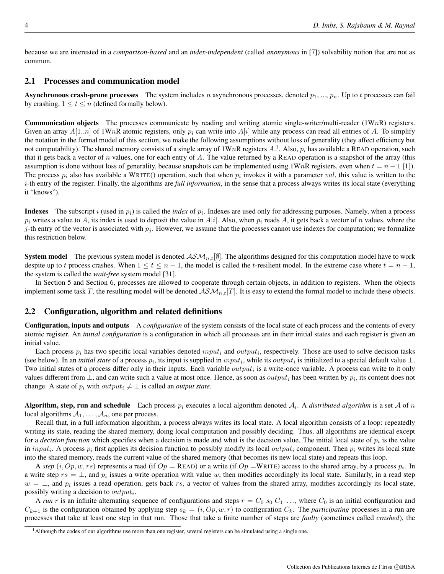because we are interested in a *comparison-based* and an *index-independent* (called *anonymous* in [7]) solvability notion that are not as common.

#### 2.1 Processes and communication model

**Asynchronous crash-prone processes** The system includes n asynchronous processes, denoted  $p_1, ..., p_n$ . Up to t processes can fail by crashing,  $1 \le t \le n$  (defined formally below).

**Communication objects** The processes communicate by reading and writing atomic single-writer/multi-reader  $(1WnR)$  registers. Given an array  $A[1..n]$  of 1WnR atomic registers, only  $p_i$  can write into  $A[i]$  while any process can read all entries of A. To simplify the notation in the formal model of this section, we make the following assumptions without loss of generality (they affect efficiency but not computability). The shared memory consists of a single array of  $1WnR$  registers  $A<sup>1</sup>$ . Also,  $p<sub>i</sub>$  has available a READ operation, such that it gets back a vector of n values, one for each entry of A. The value returned by a READ operation is a snapshot of the array (this assumption is done without loss of generality, because snapshots can be implemented using  $1WnR$  registers, even when  $t = n - 1$  [1]). The process  $p_i$  also has available a WRITE() operation, such that when  $p_i$  invokes it with a parameter val, this value is written to the i-th entry of the register. Finally, the algorithms are *full information*, in the sense that a process always writes its local state (everything it "knows").

**Indexes** The subscript i (used in  $p_i$ ) is called the *index* of  $p_i$ . Indexes are used only for addressing purposes. Namely, when a process  $p_i$  writes a value to A, its index is used to deposit the value in  $A[i]$ . Also, when  $p_i$  reads A, it gets back a vector of n values, where the j-th entry of the vector is associated with  $p_i$ . However, we assume that the processes cannot use indexes for computation; we formalize this restriction below.

**System model** The previous system model is denoted  $\mathcal{AM}_{n,t}[\emptyset]$ . The algorithms designed for this computation model have to work despite up to t process crashes. When  $1 \le t \le n - 1$ , the model is called the t-resilient model. In the extreme case where  $t = n - 1$ , the system is called the *wait-free* system model [31].

In Section 5 and Section 6, processes are allowed to cooperate through certain objects, in addition to registers. When the objects implement some task T, the resulting model will be denoted  $\mathcal{ASM}_{n,t}[T]$ . It is easy to extend the formal model to include these objects.

#### 2.2 Configuration, algorithm and related definitions

Configuration, inputs and outputs A *configuration* of the system consists of the local state of each process and the contents of every atomic register. An *initial configuration* is a configuration in which all processes are in their initial states and each register is given an initial value.

Each process  $p_i$  has two specific local variables denoted  $input_i$  and  $output_i$ , respectively. Those are used to solve decision tasks (see below). In an *initial state* of a process  $p_i$ , its input is supplied in  $input_i$ , while its  $output_i$  is initialized to a special default value  $\perp$ . Two initial states of a process differ only in their inputs. Each variable  $output_i$  is a write-once variable. A process can write to it only values different from  $\perp$ , and can write such a value at most once. Hence, as soon as  $output_i$  has been written by  $p_i$ , its content does not change. A state of  $p_i$  with  $output_i \neq \bot$  is called an *output state*.

Algorithm, step, run and schedule Each process  $p_i$  executes a local algorithm denoted  $A_i$ . A *distributed algorithm* is a set A of n local algorithms  $A_1, \ldots, A_n$ , one per process.

Recall that, in a full information algorithm, a process always writes its local state. A local algorithm consists of a loop: repeatedly writing its state, reading the shared memory, doing local computation and possibly deciding. Thus, all algorithms are identical except for a *decision function* which specifies when a decision is made and what is the decision value. The initial local state of  $p_i$  is the value in input<sub>i</sub>. A process  $p_i$  first applies its decision function to possibly modify its local *output<sub>i</sub>* component. Then  $p_i$  writes its local state into the shared memory, reads the current value of the shared memory (that becomes its new local state) and repeats this loop.

A *step*  $(i, Op, w, rs)$  represents a read (if  $Op =$  READ) or a write (if  $Op =$ WRITE) access to the shared array, by a process  $p_i$ . In a write step  $rs = \perp$ , and  $p_i$  issues a write operation with value w, then modifies accordingly its local state. Similarly, in a read step  $w = \perp$ , and  $p_i$  issues a read operation, gets back rs, a vector of values from the shared array, modifies accordingly its local state, possibly writing a decision to  $output_i$ .

A *run* r is an infinite alternating sequence of configurations and steps  $r = C_0$  s<sub>0</sub>  $C_1$  ..., where  $C_0$  is an initial configuration and  $C_{k+1}$  is the configuration obtained by applying step  $s_k = (i, Op, w, r)$  to configuration  $C_k$ . The *participating* processes in a run are processes that take at least one step in that run. Those that take a finite number of steps are *faulty* (sometimes called *crashed*), the

<sup>&</sup>lt;sup>1</sup>Although the codes of our algorithms use more than one register, several registers can be simulated using a single one.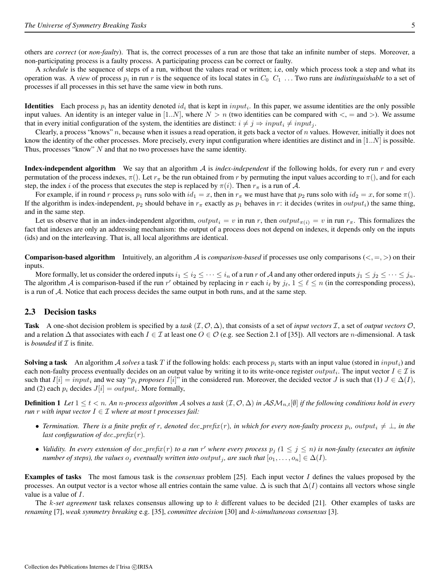others are *correct* (or *non-faulty*). That is, the correct processes of a run are those that take an infinite number of steps. Moreover, a non-participating process is a faulty process. A participating process can be correct or faulty.

A *schedule* is the sequence of steps of a run, without the values read or written; i.e, only which process took a step and what its operation was. A *view* of process  $p_i$  in run r is the sequence of its local states in  $C_0$   $C_1$  ... Two runs are *indistinguishable* to a set of processes if all processes in this set have the same view in both runs.

**Identities** Each process  $p_i$  has an identity denoted  $id_i$  that is kept in  $input_i$ . In this paper, we assume identities are the only possible input values. An identity is an integer value in [1..N], where  $N > n$  (two identities can be compared with  $\lt$ , = and  $\gt$ ). We assume that in every initial configuration of the system, the identities are distinct:  $i \neq j \Rightarrow input_i \neq input_j$ .

Clearly, a process "knows"  $n$ , because when it issues a read operation, it gets back a vector of  $n$  values. However, initially it does not know the identity of the other processes. More precisely, every input configuration where identities are distinct and in  $[1..N]$  is possible. Thus, processes "know" N and that no two processes have the same identity.

Index-independent algorithm We say that an algorithm A is *index-independent* if the following holds, for every run r and every permutation of the process indexes,  $\pi$ . Let  $r_{\pi}$  be the run obtained from r by permuting the input values according to  $\pi$ . step, the index i of the process that executes the step is replaced by  $\pi(i)$ . Then  $r_{\pi}$  is a run of A.

For example, if in round r process  $p_1$  runs solo with  $id_1 = x$ , then in  $r_\pi$  we must have that  $p_2$  runs solo with  $id_2 = x$ , for some  $\pi$ . If the algorithm is index-independent,  $p_2$  should behave in  $r_\pi$  exactly as  $p_1$  behaves in r: it decides (writes in *output<sub>i</sub>*) the same thing, and in the same step.

Let us observe that in an index-independent algorithm, output<sub>i</sub> = v in run r, then output<sub> $\pi(i)$ </sub> = v in run  $r_{\pi}$ . This formalizes the fact that indexes are only an addressing mechanism: the output of a process does not depend on indexes, it depends only on the inputs (ids) and on the interleaving. That is, all local algorithms are identical.

**Comparison-based algorithm** Intuitively, an algorithm  $\mathcal A$  is *comparison-based* if processes use only comparisons  $\langle \langle , = , \rangle$  on their inputs.

More formally, let us consider the ordered inputs  $i_1 \leq i_2 \leq \cdots \leq i_n$  of a run r of A and any other ordered inputs  $j_1 \leq j_2 \leq \cdots \leq j_n$ . The algorithm A is comparison-based if the run r' obtained by replacing in r each  $i_\ell$  by  $j_\ell$ ,  $1 \leq \ell \leq n$  (in the corresponding process), is a run of A. Notice that each process decides the same output in both runs, and at the same step.

#### 2.3 Decision tasks

Task A one-shot decision problem is specified by a *task*  $(\mathcal{I}, \mathcal{O}, \Delta)$ , that consists of a set of *input vectors*  $\mathcal{I}$ , a set of *output vectors*  $\mathcal{O}$ , and a relation  $\Delta$  that associates with each  $I \in \mathcal{I}$  at least one  $O \in \mathcal{O}$  (e.g. see Section 2.1 of [35]). All vectors are *n*-dimensional. A task is *bounded* if  $I$  is finite.

**Solving a task** An algorithm A *solves* a task T if the following holds: each process  $p_i$  starts with an input value (stored in  $input_i$ ) and each non-faulty process eventually decides on an output value by writing it to its write-once register  $output_i$ . The input vector  $I \in \mathcal{I}$  is such that  $I[i] = input_i$  and we say " $p_i$  *proposes*  $I[i]$ " in the considered run. Moreover, the decided vector J is such that (1)  $J \in \Delta(I)$ , and (2) each  $p_i$  decides  $J[i] = output_i$ . More formally,

**Definition 1** Let  $1 \le t < n$ . An n-process algorithm A solves a task  $(\mathcal{I}, \mathcal{O}, \Delta)$  in  $\mathcal{ASM}_{n,t}[\emptyset]$  if the following conditions hold in every *run r with input vector*  $I \in \mathcal{I}$  *where at most t processes fail:* 

- *Termination. There is a finite prefix of r, denoted dec\_prefix*(r), in which for every non-faulty process  $p_i$ , outpu $t_i \neq \bot$ , in the *last configuration of dec\_prefix(r).*
- Validity. In every extension of  $dec\_prefix(r)$  to a run r' where every process  $p_j$  ( $1 \le j \le n$ ) is non-faulty (executes an infinite *number of steps), the values*  $o_j$  *eventually written into output<sub>j</sub>, are such that*  $[o_1, \ldots, o_n] \in \Delta(I)$ *.*

Examples of tasks The most famous task is the *consensus* problem [25]. Each input vector I defines the values proposed by the processes. An output vector is a vector whose all entries contain the same value.  $\Delta$  is such that  $\Delta(I)$  contains all vectors whose single value is a value of I.

The k*-set agreement* task relaxes consensus allowing up to k different values to be decided [21]. Other examples of tasks are *renaming* [7], *weak symmetry breaking* e.g. [35], *committee decision* [30] and k-*simultaneous consensus* [3].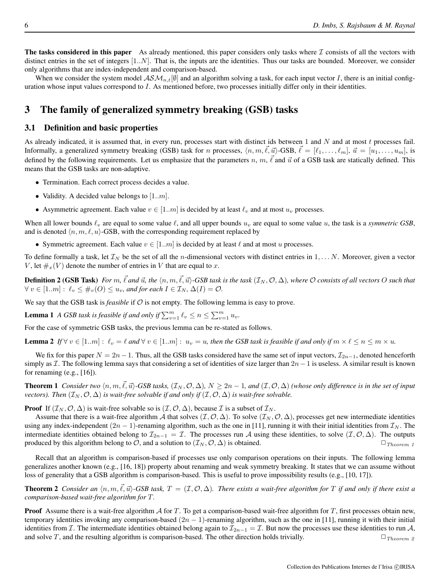The tasks considered in this paper As already mentioned, this paper considers only tasks where  $\mathcal I$  consists of all the vectors with distinct entries in the set of integers [1..N]. That is, the inputs are the identities. Thus our tasks are bounded. Moreover, we consider only algorithms that are index-independent and comparison-based.

When we consider the system model  $ASM_{n,t}[\emptyset]$  and an algorithm solving a task, for each input vector I, there is an initial configuration whose input values correspond to  $I$ . As mentioned before, two processes initially differ only in their identities.

# 3 The family of generalized symmetry breaking (GSB) tasks

## 3.1 Definition and basic properties

As already indicated, it is assumed that, in every run, processes start with distinct ids between 1 and  $N$  and at most  $t$  processes fail. Informally, a generalized symmetry breaking (GSB) task for n processes,  $\langle n, m, \vec{\ell}, \vec{u} \rangle$ -GSB,  $\vec{\ell} = [\ell_1, \ldots, \ell_m], \vec{u} = [\vec{u_1}, \ldots, \vec{u_m}],$  is defined by the following requirements. Let us emphasize that the parameters n, m,  $\vec{l}$  and  $\vec{u}$  of a GSB task are statically defined. This means that the GSB tasks are non-adaptive.

- Termination. Each correct process decides a value.
- Validity. A decided value belongs to  $[1..m]$ .
- Asymmetric agreement. Each value  $v \in [1..m]$  is decided by at least  $\ell_v$  and at most  $u_v$  processes.

When all lower bounds  $\ell_v$  are equal to some value  $\ell$ , and all upper bounds  $u_v$  are equal to some value u, the task is a *symmetric GSB*, and is denoted  $\langle n, m, \ell, u \rangle$ -GSB, with the corresponding requirement replaced by

• Symmetric agreement. Each value  $v \in [1..m]$  is decided by at least  $\ell$  and at most u processes.

To define formally a task, let  $\mathcal{I}_N$  be the set of all the *n*-dimensional vectors with distinct entries in  $1, \ldots N$ . Moreover, given a vector V, let  $\#_x(V)$  denote the number of entries in V that are equal to x.

**Definition 2 (GSB Task)** For m,  $\vec{\ell}$  and  $\vec{u}$ , the  $\langle n,m,\vec{\ell},\vec{u}\rangle$ -GSB task is the task  $(\mathcal{I}_N,\mathcal{O},\Delta)$ , where  $\mathcal O$  consists of all vectors  $O$  such that  $\forall v \in [1..m]: \ell_v \leq \#_v(O) \leq u_v$ , and for each  $I \in \mathcal{I}_N$ ,  $\Delta(I) = \mathcal{O}$ .

We say that the GSB task is *feasible* if  $O$  is not empty. The following lemma is easy to prove.

**Lemma 1** *A GSB task is feasible if and only if*  $\sum_{v=1}^{m} \ell_v \leq n \leq \sum_{v=1}^{m} u_v$ .

For the case of symmetric GSB tasks, the previous lemma can be re-stated as follows.

**Lemma 2** If  $\forall v \in [1..m] : \ell_v = \ell$  and  $\forall v \in [1..m] : u_v = u$ , then the GSB task is feasible if and only if  $m \times \ell \leq n \leq m \times u$ .

We fix for this paper  $N = 2n - 1$ . Thus, all the GSB tasks considered have the same set of input vectors,  $\mathcal{I}_{2n-1}$ , denoted henceforth simply as  $\mathcal I$ . The following lemma says that considering a set of identities of size larger than  $2n-1$  is useless. A similar result is known for renaming  $(e.g., [16])$ .

**Theorem 1** *Consider two*  $\langle n, m, \ell, \vec{u} \rangle$ -GSB tasks,  $(\mathcal{I}_N, \mathcal{O}, \Delta)$ ,  $N \ge 2n - 1$ , and  $(\mathcal{I}, \mathcal{O}, \Delta)$  *(whose only difference is in the set of input vectors). Then*  $(\mathcal{I}_N, \mathcal{O}, \Delta)$  *is wait-free solvable if and only if*  $(\mathcal{I}, \mathcal{O}, \Delta)$  *is wait-free solvable.* 

**Proof** If  $(\mathcal{I}_N, \mathcal{O}, \Delta)$  is wait-free solvable so is  $(\mathcal{I}, \mathcal{O}, \Delta)$ , because  $\mathcal{I}$  is a subset of  $\mathcal{I}_N$ .

Assume that there is a wait-free algorithm A that solves  $(\mathcal{I}, \mathcal{O}, \Delta)$ . To solve  $(\mathcal{I}_N, \mathcal{O}, \Delta)$ , processes get new intermediate identities using any index-independent  $(2n - 1)$ -renaming algorithm, such as the one in [11], running it with their initial identities from  $\mathcal{I}_N$ . The intermediate identities obtained belong to  $\mathcal{I}_{2n-1} = \mathcal{I}$ . The processes run A using these identities, to solve  $(\mathcal{I}, \mathcal{O}, \Delta)$ . The outputs produced by this algorithm belong to  $\mathcal{O}$ , and a solution to  $(\mathcal{I}_N, \mathcal{O}, \Delta)$  is obtained.  $\Box_{Theorem 1}$ 

Recall that an algorithm is comparison-based if processes use only comparison operations on their inputs. The following lemma generalizes another known (e.g., [16, 18]) property about renaming and weak symmetry breaking. It states that we can assume without loss of generality that a GSB algorithm is comparison-based. This is useful to prove impossibility results (e.g., [10, 17]).

**Theorem 2** *Consider an*  $\langle n, m, \vec{\ell}, \vec{u} \rangle$ -GSB task,  $T = (\mathcal{I}, \mathcal{O}, \Delta)$ *. There exists a wait-free algorithm for*  $T$  *if and only if there exist a comparison-based wait-free algorithm for* T*.*

**Proof** Assume there is a wait-free algorithm  $\mathcal A$  for  $T$ . To get a comparison-based wait-free algorithm for  $T$ , first processes obtain new, temporary identities invoking any comparison-based  $(2n - 1)$ -renaming algorithm, such as the one in [11], running it with their initial identities from *I*. The intermediate identities obtained belong again to  $\mathcal{I}_{2n-1} = \mathcal{I}$ . But now the processes use these identities to run A, and solve T, and the resulting algorithm is comparison-based. The other direction holds trivially.  $\Box$  Theorem 2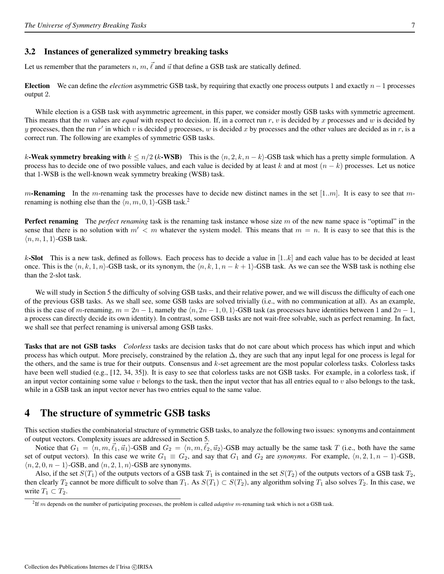#### 3.2 Instances of generalized symmetry breaking tasks

Let us remember that the parameters  $n, m, \vec{\ell}$  and  $\vec{u}$  that define a GSB task are statically defined.

Election We can define the *election* asymmetric GSB task, by requiring that exactly one process outputs 1 and exactly n−1 processes output 2.

While election is a GSB task with asymmetric agreement, in this paper, we consider mostly GSB tasks with symmetric agreement. This means that the m values are *equal* with respect to decision. If, in a correct run r, v is decided by x processes and w is decided by y processes, then the run  $r'$  in which v is decided y processes, w is decided x by processes and the other values are decided as in r, is a correct run. The following are examples of symmetric GSB tasks.

k-Weak symmetry breaking with  $k \le n/2$  (k-WSB) This is the  $\langle n, 2, k, n - k \rangle$ -GSB task which has a pretty simple formulation. A process has to decide one of two possible values, and each value is decided by at least k and at most  $(n - k)$  processes. Let us notice that 1-WSB is the well-known weak symmetry breaking (WSB) task.

m-Renaming In the m-renaming task the processes have to decide new distinct names in the set  $[1..m]$ . It is easy to see that mrenaming is nothing else than the  $\langle n, m, 0, 1 \rangle$ -GSB task.<sup>2</sup>

Perfect renaming The *perfect renaming* task is the renaming task instance whose size m of the new name space is "optimal" in the sense that there is no solution with  $m' < m$  whatever the system model. This means that  $m = n$ . It is easy to see that this is the  $\langle n, n, 1, 1 \rangle$ -GSB task.

k-Slot This is a new task, defined as follows. Each process has to decide a value in  $[1..k]$  and each value has to be decided at least once. This is the  $\langle n, k, 1, n \rangle$ -GSB task, or its synonym, the  $\langle n, k, 1, n - k + 1 \rangle$ -GSB task. As we can see the WSB task is nothing else than the 2-slot task.

We will study in Section 5 the difficulty of solving GSB tasks, and their relative power, and we will discuss the difficulty of each one of the previous GSB tasks. As we shall see, some GSB tasks are solved trivially (i.e., with no communication at all). As an example, this is the case of m-renaming,  $m = 2n - 1$ , namely the  $\langle n, 2n - 1, 0, 1 \rangle$ -GSB task (as processes have identities between 1 and  $2n - 1$ , a process can directly decide its own identity). In contrast, some GSB tasks are not wait-free solvable, such as perfect renaming. In fact, we shall see that perfect renaming is universal among GSB tasks.

Tasks that are not GSB tasks *Colorless* tasks are decision tasks that do not care about which process has which input and which process has which output. More precisely, constrained by the relation ∆, they are such that any input legal for one process is legal for the others, and the same is true for their outputs. Consensus and  $k$ -set agreement are the most popular colorless tasks. Colorless tasks have been well studied (e.g., [12, 34, 35]). It is easy to see that colorless tasks are not GSB tasks. For example, in a colorless task, if an input vector containing some value  $v$  belongs to the task, then the input vector that has all entries equal to  $v$  also belongs to the task, while in a GSB task an input vector never has two entries equal to the same value.

## 4 The structure of symmetric GSB tasks

This section studies the combinatorial structure of symmetric GSB tasks, to analyze the following two issues: synonyms and containment of output vectors. Complexity issues are addressed in Section 5.

Notice that  $G_1 = \langle n, m, \vec{\ell}_1, \vec{u}_1 \rangle$ -GSB and  $G_2 = \langle n, m, \vec{\ell}_2, \vec{u}_2 \rangle$ -GSB may actually be the same task T (i.e., both have the same set of output vectors). In this case we write  $G_1 \equiv G_2$ , and say that  $G_1$  and  $G_2$  are *synonyms*. For example,  $\langle n, 2, 1, n - 1 \rangle$ -GSB,  $\langle n, 2, 0, n - 1 \rangle$ -GSB, and  $\langle n, 2, 1, n \rangle$ -GSB are synonyms.

Also, if the set  $S(T_1)$  of the outputs vectors of a GSB task  $T_1$  is contained in the set  $S(T_2)$  of the outputs vectors of a GSB task  $T_2$ , then clearly  $T_2$  cannot be more difficult to solve than  $T_1$ . As  $S(T_1) \subset S(T_2)$ , any algorithm solving  $T_1$  also solves  $T_2$ . In this case, we write  $T_1 \subset T_2$ .

<sup>&</sup>lt;sup>2</sup>If m depends on the number of participating processes, the problem is called *adaptive* m-renaming task which is not a GSB task.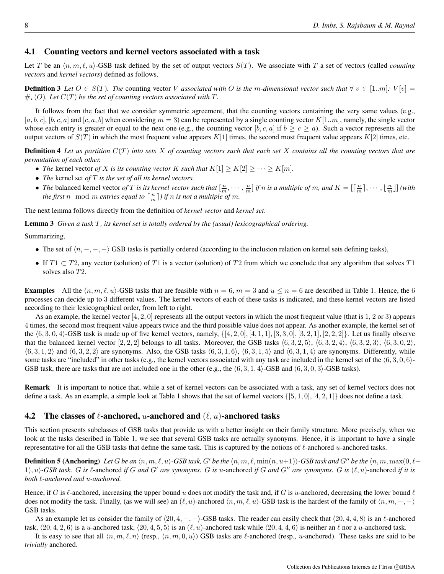#### 4.1 Counting vectors and kernel vectors associated with a task

Let T be an  $\langle n, m, \ell, u \rangle$ -GSB task defined by the set of output vectors  $S(T)$ . We associate with T a set of vectors (called *counting vectors* and *kernel vectors*) defined as follows.

**Definition 3** Let  $O \in S(T)$ *. The* counting vector V associated with O is the m-dimensional vector such that  $\forall v \in [1..m]$ *:* V[v] =  $\#_{v}(O)$ . Let  $C(T)$  be the set of counting vectors associated with T.

It follows from the fact that we consider symmetric agreement, that the counting vectors containing the very same values (e.g.,  $[a, b, c], [b, c, a]$  and  $[c, a, b]$  when considering  $m = 3$ ) can be represented by a single counting vector  $K[1..m]$ , namely, the single vector whose each entry is greater or equal to the next one (e.g., the counting vector  $[b, c, a]$  if  $b \ge c \ge a$ ). Such a vector represents all the output vectors of  $S(T)$  in which the most frequent value appears  $K[1]$  times, the second most frequent value appears  $K[2]$  times, etc.

Definition 4 *Let us partition* C(T) *into sets* X *of counting vectors such that each set* X *contains all the counting vectors that are permutation of each other.*

- *The* kernel vector of X is its counting vector K such that  $K[1] \ge K[2] \ge \cdots \ge K[m]$ .
- *The* kernel set *of* T *is the set of all its kernel vectors.*
- *The* balanced kernel vector *of* T *is its kernel vector such that*  $\left[\frac{n}{m}, \cdots, \frac{n}{m}\right]$  *if* n *is a multiple of* m, and  $K = \left[\left\lceil \frac{n}{m} \right\rceil, \cdots, \left\lfloor \frac{n}{m} \right\rfloor\right]$  (with *the first* n mod m *entries equal to*  $\lceil \frac{n}{m} \rceil$  *if* n *is not a multiple of* m.

The next lemma follows directly from the definition of *kernel vector* and *kernel set*.

Lemma 3 *Given a task* T*, its kernel set is totally ordered by the (usual) lexicographical ordering.*

Summarizing,

- The set of  $\langle n, -, -, -\rangle$  GSB tasks is partially ordered (according to the inclusion relation on kernel sets defining tasks),
- If  $T_1 \subset T_2$ , any vector (solution) of T1 is a vector (solution) of T2 from which we conclude that any algorithm that solves T1 solves also T2.

**Examples** All the  $\langle n, m, \ell, u \rangle$ -GSB tasks that are feasible with  $n = 6, m = 3$  and  $u \le n = 6$  are described in Table 1. Hence, the 6 processes can decide up to 3 different values. The kernel vectors of each of these tasks is indicated, and these kernel vectors are listed according to their lexicographical order, from left to right.

As an example, the kernel vector  $[4, 2, 0]$  represents all the output vectors in which the most frequent value (that is 1, 2 or 3) appears 4 times, the second most frequent value appears twice and the third possible value does not appear. As another example, the kernel set of the  $(6, 3, 0, 4)$ -GSB task is made up of five kernel vectors, namely,  $\{[4, 2, 0], [4, 1, 1], [3, 3, 0], [3, 2, 1], [2, 2, 2]\}$ . Let us finally observe that the balanced kernel vector [2, 2, 2] belongs to all tasks. Moreover, the GSB tasks  $(6, 3, 2, 5)$ ,  $(6, 3, 2, 4)$ ,  $(6, 3, 2, 3)$ ,  $(6, 3, 0, 2)$ ,  $(6, 3, 1, 2)$  and  $(6, 3, 2, 2)$  are synonyms. Also, the GSB tasks  $(6, 3, 1, 6)$ ,  $(6, 3, 1, 5)$  and  $(6, 3, 1, 4)$  are synonyms. Differently, while some tasks are "included" in other tasks (e.g., the kernel vectors associated with any task are included in the kernel set of the  $\langle 6, 3, 0, 6 \rangle$ -GSB task, there are tasks that are not included one in the other (e.g., the  $(6, 3, 1, 4)$ -GSB and  $(6, 3, 0, 3)$ -GSB tasks).

Remark It is important to notice that, while a set of kernel vectors can be associated with a task, any set of kernel vectors does not define a task. As an example, a simple look at Table 1 shows that the set of kernel vectors  $\{[5, 1, 0], [4, 2, 1]\}$  does not define a task.

## 4.2 The classes of  $\ell$ -anchored, u-anchored and  $(\ell, u)$ -anchored tasks

This section presents subclasses of GSB tasks that provide us with a better insight on their family structure. More precisely, when we look at the tasks described in Table 1, we see that several GSB tasks are actually synonyms. Hence, it is important to have a single representative for all the GSB tasks that define the same task. This is captured by the notions of  $\ell$ -anchored  $u$ -anchored tasks.

**Definition 5 (Anchoring)** Let G be an  $\langle n, m, \ell, u \rangle$ -GSB task, G' be the  $\langle n, m, \ell, \min(n, u+1) \rangle$ -GSB task and G" be the  $\langle n, m, \max(0, \ell-1) \rangle$ 1),  $u$ *)*-GSB task. G is  $\ell$ -anchored *if* G and G' are synonyms. G is u-anchored *if* G and G'' are synonyms. G is  $(\ell, u)$ -anchored *if it is both* `*-anchored and* u*-anchored.*

Hence, if G is  $\ell$ -anchored, increasing the upper bound u does not modify the task and, if G is u-anchored, decreasing the lower bound  $\ell$ does not modify the task. Finally, (as we will see) an  $(\ell, u)$ -anchored  $\langle n, m, \ell, u \rangle$ -GSB task is the hardest of the family of  $\langle n, m, -, - \rangle$ GSB tasks.

As an example let us consider the family of  $\langle 20, 4, -, - \rangle$ -GSB tasks. The reader can easily check that  $\langle 20, 4, 4, 8 \rangle$  is an  $\ell$ -anchored task,  $\langle 20, 4, 2, 6 \rangle$  is a u-anchored task,  $\langle 20, 4, 5, 5 \rangle$  is an  $(\ell, u)$ -anchored task while  $\langle 20, 4, 4, 6 \rangle$  is neither an  $\ell$  nor a u-anchored task.

It is easy to see that all  $\langle n, m, \ell, n \rangle$  (resp.,  $\langle n, m, 0, u \rangle$ ) GSB tasks are  $\ell$ -anchored (resp., u-anchored). These tasks are said to be *trivially* anchored.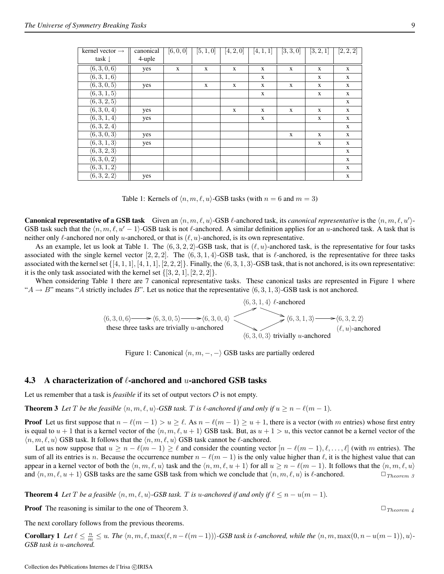| kernel vector $\rightarrow$ | canonical | [6, 0, 0]   | [5, 1, 0]    | [4, 2, 0]   | [4, 1, 1]    | [3, 3, 0] | [3, 2, 1]    | [2, 2, 2]    |
|-----------------------------|-----------|-------------|--------------|-------------|--------------|-----------|--------------|--------------|
| task $\downarrow$           | 4-uple    |             |              |             |              |           |              |              |
| $\langle 6,3,0,6 \rangle$   | yes       | $\mathbf x$ | $\mathbf{X}$ | $\mathbf x$ | $\mathbf{X}$ | X         | $\mathbf X$  | $\mathbf X$  |
| $\langle 6,3,1,6 \rangle$   |           |             |              |             | $\mathbf{x}$ |           | $\mathbf{x}$ | $\mathbf{x}$ |
| $\langle 6,3,0,5 \rangle$   | yes       |             | X            | X           | $\mathbf{x}$ | X         | X            | X            |
| $\langle 6,3,1,5 \rangle$   |           |             |              |             | $\mathbf{x}$ |           | $\mathbf X$  | $\mathbf X$  |
| $\langle 6,3,2,5\rangle$    |           |             |              |             |              |           |              | $\mathbf X$  |
| $\langle 6,3,0,4\rangle$    | yes       |             |              | X           | X            | X         | X            | $\mathbf X$  |
| $\langle 6,3,1,4\rangle$    | yes       |             |              |             | $\mathbf{X}$ |           | $\mathbf{X}$ | $\mathbf{X}$ |
| $\langle 6,3,2,4\rangle$    |           |             |              |             |              |           |              | $\mathbf{x}$ |
| $\langle 6,3,0,3 \rangle$   | yes       |             |              |             |              | X         | $\mathbf{X}$ | $\mathbf{X}$ |
| $\langle 6,3,1,3 \rangle$   | yes       |             |              |             |              |           | $\mathbf X$  | $\mathbf{x}$ |
| $\langle 6,3,2,3 \rangle$   |           |             |              |             |              |           |              | $\mathbf X$  |
| $\langle 6,3,0,2 \rangle$   |           |             |              |             |              |           |              | $\mathbf{X}$ |
| $\langle 6,3,1,2 \rangle$   |           |             |              |             |              |           |              | $\mathbf X$  |
| $\langle 6,3,2,2\rangle$    | yes       |             |              |             |              |           |              | $\mathbf X$  |

Table 1: Kernels of  $\langle n, m, \ell, u \rangle$ -GSB tasks (with  $n = 6$  and  $m = 3$ )

**Canonical representative of a GSB task** Given an  $\langle n, m, \ell, u \rangle$ -GSB  $\ell$ -anchored task, its *canonical representative* is the  $\langle n, m, \ell, u' \rangle$ -GSB task such that the  $\langle n, m, \ell, u' - 1 \rangle$ -GSB task is not  $\ell$ -anchored. A similar definition applies for an u-anchored task. A task that is neither only  $\ell$ -anchored nor only u-anchored, or that is  $(\ell, u)$ -anchored, is its own representative.

As an example, let us look at Table 1. The  $(6, 3, 2, 2)$ -GSB task, that is  $(\ell, u)$ -anchored task, is the representative for four tasks associated with the single kernel vector [2, 2, 2]. The  $\langle 6, 3, 1, 4 \rangle$ -GSB task, that is  $\ell$ -anchored, is the representative for three tasks associated with the kernel set  $\{[4, 1, 1], [4, 1, 1], [2, 2, 2]\}$ . Finally, the  $\langle 6, 3, 1, 3 \rangle$ -GSB task, that is not anchored, is its own representative: it is the only task associated with the kernel set  $\{[3, 2, 1], [2, 2, 2]\}.$ 

When considering Table 1 there are 7 canonical representative tasks. These canonical tasks are represented in Figure 1 where " $A \rightarrow B$ " means "A strictly includes B". Let us notice that the representative  $(6, 3, 1, 3)$ -GSB task is not anchored.

$$
\langle 6, 3, 0, 6 \rangle \longrightarrow \langle 6, 3, 0, 5 \rangle \longrightarrow \langle 6, 3, 0, 4 \rangle
$$
\n
$$
\langle 6, 3, 1, 4 \rangle \ell\text{-anchored}
$$
\n
$$
\langle 6, 3, 1, 3 \rangle \longrightarrow \langle 6, 3, 2, 2 \rangle
$$
\nthese three tasks are trivially *u*-anchored\n
$$
\langle 6, 3, 0, 3 \rangle \text{ trivially } u\text{-anchored}
$$
\n
$$
\langle \ell, u \rangle\text{-anchored}
$$

Figure 1: Canonical  $\langle n, m, -, -\rangle$  GSB tasks are partially ordered

#### 4.3 A characterization of  $\ell$ -anchored and u-anchored GSB tasks

Let us remember that a task is *feasible* if its set of output vectors  $O$  is not empty.

**Theorem 3** Let T be the feasible  $\langle n, m, \ell, u \rangle$ -GSB task. T is  $\ell$ -anchored if and only if  $u \geq n - \ell(m - 1)$ .

**Proof** Let us first suppose that  $n - \ell(m - 1) > u \geq \ell$ . As  $n - \ell(m - 1) \geq u + 1$ , there is a vector (with m entries) whose first entry is equal to  $u + 1$  that is a kernel vector of the  $\langle n, m, \ell, u + 1 \rangle$  GSB task. But, as  $u + 1 > u$ , this vector cannot be a kernel vector of the  $\langle n, m, \ell, u \rangle$  GSB task. It follows that the  $\langle n, m, \ell, u \rangle$  GSB task cannot be  $\ell$ -anchored.

Let us now suppose that  $u \ge n - \ell(m - 1) \ge \ell$  and consider the counting vector  $[n - \ell(m - 1), \ell, \ldots, \ell]$  (with m entries). The sum of all its entries is n. Because the occurrence number  $n - \ell(m - 1)$  is the only value higher than  $\ell$ , it is the highest value that can appear in a kernel vector of both the  $\langle n, m, \ell, u \rangle$  task and the  $\langle n, m, \ell, u + 1 \rangle$  for all  $u \ge n - \ell(m - 1)$ . It follows that the  $\langle n, m, \ell, u \rangle$ and  $\langle n, m, \ell, u + 1 \rangle$  GSB tasks are the same GSB task from which we conclude that  $\langle n, m, \ell, u \rangle$  is  $\ell$ -anchored.  $\Box_{Theorem 3}$ 

**Theorem 4** *Let* T *be a feasible*  $\langle n, m, \ell, u \rangle$ -GSB task. T *is* u-anchored if and only if  $\ell \leq n - u(m - 1)$ .

**Proof** The reasoning is similar to the one of Theorem 3.  $\Box$  Theorem 4.

The next corollary follows from the previous theorems.

**Corollary 1** Let  $\ell \leq \frac{n}{m} \leq u$ . The  $\langle n, m, \ell, \max(\ell, n-\ell(m-1)) \rangle$ -GSB task is  $\ell$ -anchored, while the  $\langle n, m, \max(0, n-u(m-1)), u \rangle$ -*GSB task is* u*-anchored.*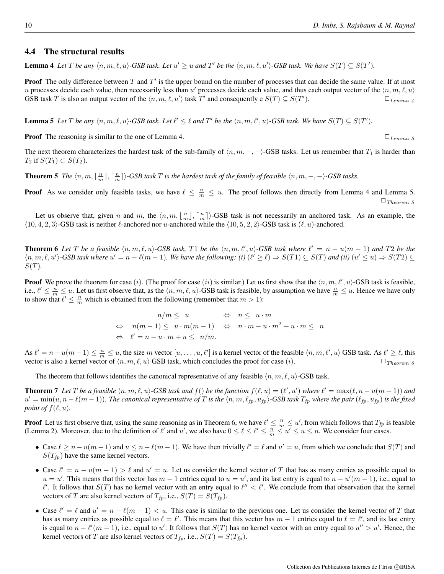#### 4.4 The structural results

**Lemma 4** Let T be any  $\langle n, m, \ell, u \rangle$ -GSB task. Let  $u' \geq u$  and T' be the  $\langle n, m, \ell, u' \rangle$ -GSB task. We have  $S(T) \subseteq S(T')$ .

**Proof** The only difference between  $T$  and  $T'$  is the upper bound on the number of processes that can decide the same value. If at most u processes decide each value, then necessarily less than u' processes decide each value, and thus each output vector of the  $\langle n, m, \ell, u \rangle$ GSB task T is also an output vector of the  $\langle n, m, \ell, u' \rangle$  task T' and consequently e  $S(T) \subseteq S(T')$  $\square_{Lemma\ \& }$ 

**Lemma 5** Let T be any  $\langle n, m, \ell, u \rangle$ -GSB task. Let  $\ell' \leq \ell$  and T' be the  $\langle n, m, \ell', u \rangle$ -GSB task. We have  $S(T) \subseteq S(T')$ .

**Proof** The reasoning is similar to the one of Lemma 4.

The next theorem characterizes the hardest task of the sub-family of  $\langle n, m, -, - \rangle$ -GSB tasks. Let us remember that  $T_1$  is harder than  $T_2$  if  $S(T_1) \subset S(T_2)$ .

**Theorem 5** *The*  $\langle n, m, \lfloor \frac{n}{m} \rfloor, \lceil \frac{n}{m} \rceil \rangle$ -GSB task T is the hardest task of the family of feasible  $\langle n, m, -, - \rangle$ -GSB tasks.

**Proof** As we consider only feasible tasks, we have  $\ell \leq \frac{n}{m} \leq u$ . The proof follows then directly from Lemma 4 and Lemma 5.  $\Box$  Theorem 5

Let us observe that, given n and m, the  $\langle n, m, \lfloor \frac{n}{m} \rfloor, \lceil \frac{n}{m} \rceil \rangle$ -GSB task is not necessarily an anchored task. As an example, the  $\langle 10, 4, 2, 3 \rangle$ -GSB task is neither  $\ell$ -anchored nor u-anchored while the  $\langle 10, 5, 2, 2 \rangle$ -GSB task is  $(\ell, u)$ -anchored.

**Theorem 6** Let T be a feasible  $\langle n, m, \ell, u \rangle$ -GSB task, T1 be the  $\langle n, m, \ell', u \rangle$ -GSB task where  $\ell' = n - u(m - 1)$  and T2 be the  $\langle n, m, \ell, u' \rangle$ -GSB task where  $u' = n - \ell(m - 1)$ . We have the following: (i)  $(\ell' \geq \ell) \Rightarrow S(T1) \subseteq S(T)$  and (ii)  $(u' \leq u) \Rightarrow S(T2) \subseteq S(T)$  $S(T)$ .

**Proof** We prove the theorem for case (i). (The proof for case (ii) is similar.) Let us first show that the  $\langle n, m, \ell', u \rangle$ -GSB task is feasible, i.e.,  $\ell' \leq \frac{n}{m} \leq u$ . Let us first observe that, as the  $\langle n, m, \ell, u \rangle$ -GSB task is feasible, by assumption we have  $\frac{n}{m} \leq u$ . Hence we have only to show that  $\ell' \leq \frac{n}{m}$  which is obtained from the following (remember that  $m > 1$ ):

$$
n/m \le u \qquad \Leftrightarrow n \le u \cdot m
$$
  
\n
$$
\Leftrightarrow n(m-1) \le u \cdot m(m-1) \qquad \Leftrightarrow n \cdot m - u \cdot m^2 + u \cdot m \le n
$$
  
\n
$$
\Leftrightarrow \ell' = n - u \cdot m + u \le n/m.
$$

As  $\ell' = n - u(m - 1) \leq \frac{n}{m} \leq u$ , the size m vector  $[u, \ldots, u, \ell']$  is a kernel vector of the feasible  $\langle n, m, \ell', u \rangle$  GSB task. As  $\ell' \geq \ell$ , this vector is also a kernel vector of  $\langle n, m, \ell, u \rangle$  GSB task, which concludes the proof for case (i).  $\Box$  Theorem 6

The theorem that follows identifies the canonical representative of any feasible  $\langle n, m, \ell, u \rangle$ -GSB task.

**Theorem 7** Let T be a feasible  $\langle n, m, \ell, u \rangle$ -GSB task and  $f()$  be the function  $f(\ell, u) = (\ell', u')$  where  $\ell' = \max(\ell, n - u(m - 1))$  and  $u' = min(u, n - \ell(m-1))$ . The canonical representative of T is the  $\langle n, m, \ell_{fp}, u_{fp} \rangle$ -GSB task  $T_{fp}$  where the pair  $(\ell_{fp}, u_{fp})$  is the fixed *point of*  $f(\ell, u)$ *.* 

**Proof** Let us first observe that, using the same reasoning as in Theorem 6, we have  $\ell' \leq \frac{n}{m} \leq u'$ , from which follows that  $T_{fp}$  is feasible (Lemma 2). Moreover, due to the definition of  $\ell'$  and  $u'$ , we also have  $0 \leq \ell \leq \ell' \leq \frac{n}{m} \leq u' \leq u \leq n$ . We consider four cases.

- Case  $\ell \ge n u(m-1)$  and  $u \le n \ell(m-1)$ . We have then trivially  $\ell' = \ell$  and  $u' = u$ , from which we conclude that  $S(T)$  and  $S(T_{fp})$  have the same kernel vectors.
- Case  $\ell' = n u(m 1) > \ell$  and  $u' = u$ . Let us consider the kernel vector of T that has as many entries as possible equal to  $u = u'$ . This means that this vector has  $m - 1$  entries equal to  $u = u'$ , and its last entry is equal to  $n - u'(m - 1)$ , i.e., equal to  $\ell'$ . It follows that  $S(T)$  has no kernel vector with an entry equal to  $\ell'' < \ell'$ . We conclude from that observation that the kernel vectors of T are also kernel vectors of  $T_{fp}$ , i.e.,  $S(T) = S(T_{fp})$ .
- Case  $\ell' = \ell$  and  $u' = n \ell(m 1) < u$ . This case is similar to the previous one. Let us consider the kernel vector of T that has as many entries as possible equal to  $\ell = \ell'$ . This means that this vector has  $m - 1$  entries equal to  $\ell = \ell'$ , and its last entry is equal to  $n - \ell'(m - 1)$ , i.e., equal to u'. It follows that  $S(T)$  has no kernel vector with an entry equal to  $u'' > u'$ . Hence, the kernel vectors of T are also kernel vectors of  $T_{fp}$ , i.e.,  $S(T) = S(T_{fp})$ .

$$
\square_{Lemma \;5}
$$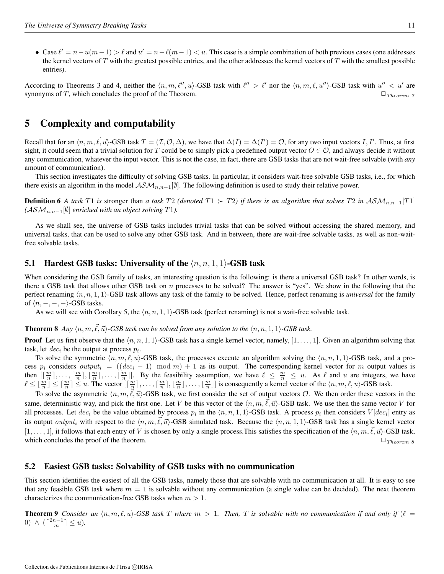• Case  $\ell' = n - u(m-1) > \ell$  and  $u' = n - \ell(m-1) < u$ . This case is a simple combination of both previous cases (one addresses the kernel vectors of  $T$  with the greatest possible entries, and the other addresses the kernel vectors of  $T$  with the smallest possible entries).

According to Theorems 3 and 4, neither the  $\langle n, m, \ell'', u \rangle$ -GSB task with  $\ell'' > \ell'$  nor the  $\langle n, m, \ell, u'' \rangle$ -GSB task with  $u'' < u'$  are synonyms of T, which concludes the proof of the Theorem.  $\Box$  Theorem 7

# 5 Complexity and computability

Recall that for an  $\langle n, m, \vec{\ell}, \vec{u} \rangle$ -GSB task  $T = (\mathcal{I}, \mathcal{O}, \Delta)$ , we have that  $\Delta(I) = \Delta(I') = \mathcal{O}$ , for any two input vectors  $I, I'$ . Thus, at first sight, it could seem that a trivial solution for T could be to simply pick a predefined output vector  $O \in \mathcal{O}$ , and always decide it without any communication, whatever the input vector. This is not the case, in fact, there are GSB tasks that are not wait-free solvable (with *any* amount of communication).

This section investigates the difficulty of solving GSB tasks. In particular, it considers wait-free solvable GSB tasks, i.e., for which there exists an algorithm in the model  $\mathcal{ASM}_{n,n-1}[\emptyset]$ . The following definition is used to study their relative power.

**Definition 6** *A task* T1 *is* stronger than *a task* T2 *(denoted*  $T1$  ≻ T2*) if there is an algorithm that solves* T2 *in*  $\mathcal{ASM}_{n,n-1}[T1]$  $(ASM_{n,n-1}$ [∅] *enriched with an object solving* T1).

As we shall see, the universe of GSB tasks includes trivial tasks that can be solved without accessing the shared memory, and universal tasks, that can be used to solve any other GSB task. And in between, there are wait-free solvable tasks, as well as non-waitfree solvable tasks.

## 5.1 Hardest GSB tasks: Universality of the  $\langle n, n, 1, 1 \rangle$ -GSB task

When considering the GSB family of tasks, an interesting question is the following: is there a universal GSB task? In other words, is there a GSB task that allows other GSB task on  $n$  processes to be solved? The answer is "yes". We show in the following that the perfect renaming  $\langle n, n, 1, 1 \rangle$ -GSB task allows any task of the family to be solved. Hence, perfect renaming is *universal* for the family of  $\langle n, -, -, - \rangle$ -GSB tasks.

As we will see with Corollary 5, the  $\langle n, n, 1, 1 \rangle$ -GSB task (perfect renaming) is not a wait-free solvable task.

## **Theorem 8** *Any*  $\langle n, m, \vec{\ell}, \vec{u} \rangle$ -GSB task can be solved from any solution to the  $\langle n, n, 1, 1 \rangle$ -GSB task.

**Proof** Let us first observe that the  $\langle n, n, 1, 1 \rangle$ -GSB task has a single kernel vector, namely,  $[1, \ldots, 1]$ . Given an algorithm solving that task, let  $dec_i$  be the output at process  $p_i$ .

To solve the symmetric  $\langle n, m, \ell, u \rangle$ -GSB task, the processes execute an algorithm solving the  $\langle n, n, 1, 1 \rangle$ -GSB task, and a process  $p_i$  considers  $output_i = ((dec_i - 1) \mod m) + 1$  as its output. The corresponding kernel vector for m output values is then  $\left[\left[\frac{m}{n}\right], \ldots, \left[\frac{m}{n}\right], \left[\frac{m}{n}\right], \ldots, \left[\frac{m}{n}\right]\right]$ . By the feasibility assumption, we have  $\ell \leq \frac{m}{n} \leq u$ . As  $\ell$  and u are integers, we have  $\ell \leq \lfloor \frac{m}{n} \rfloor \leq \lceil \frac{m}{n} \rceil \leq u$ . The vector  $\lceil \lceil \frac{m}{n} \rceil, \ldots, \lceil \frac{m}{n} \rceil, \lfloor \frac{m}{n} \rfloor, \ldots, \lfloor \frac{m}{n} \rfloor \rceil$  is consequently a kernel vector of the  $\langle n, m, \ell, u \rangle$ -GSB task.

To solve the asymmetric  $\langle n, m, \vec{\ell}, \vec{u} \rangle$ -GSB task, we first consider the set of output vectors O. We then order these vectors in the same, deterministic way, and pick the first one. Let V be this vector of the  $\langle n, m, \vec{\ell}, \vec{u} \rangle$ -GSB task. We use then the same vector V for all processes. Let  $dec_i$  be the value obtained by process  $p_i$  in the  $\langle n, n, 1, 1 \rangle$ -GSB task. A process  $p_i$  then considers  $V[dec_i]$  entry as its output *output<sub>i</sub>* with respect to the  $\langle n, m, \ell, \vec{u} \rangle$ -GSB simulated task. Because the  $\langle n, n, 1, 1 \rangle$ -GSB task has a single kernel vector  $[1, \ldots, 1]$ , it follows that each entry of V is chosen by only a single process. This satisfies the specification of the  $\langle n, m, \vec{\ell}, \vec{u} \rangle$ -GSB task, which concludes the proof of the theorem. ✷Theorem 8

## 5.2 Easiest GSB tasks: Solvability of GSB tasks with no communication

This section identifies the easiest of all the GSB tasks, namely those that are solvable with no communication at all. It is easy to see that any feasible GSB task where  $m = 1$  is solvable without any communication (a single value can be decided). The next theorem characterizes the communication-free GSB tasks when  $m > 1$ .

**Theorem 9** *Consider an*  $\langle n, m, \ell, u \rangle$ -GSB task T where  $m > 1$ . Then, T is solvable with no communication if and only if  $(\ell =$ 0)  $\wedge$  ( $\lceil \frac{2n-1}{m} \rceil \leq u$ ).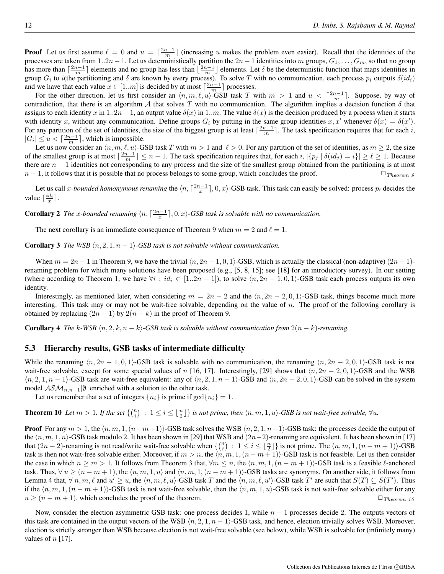**Proof** Let us first assume  $\ell = 0$  and  $u = \lceil \frac{2n-1}{m} \rceil$  (increasing u makes the problem even easier). Recall that the identities of the processes are taken from 1..2n − 1. Let us deterministically partition the  $2n-1$  identities into m groups,  $G_1, \ldots, G_m$ , so that no group has more than  $\lceil \frac{2n-1}{m} \rceil$  elements and no group has less than  $\lfloor \frac{2n-1}{m} \rfloor$  elements. Let  $\delta$  be the deterministic function that maps identities in group  $G_i$  to i(the partitioning and  $\delta$  are known by every process). To solve T with no communication, each process  $p_i$  outputs  $\delta(id_i)$ and we have that each value  $x \in [1..m]$  is decided by at most  $\lceil \frac{2n-1}{m} \rceil$  processes.

For the other direction, let us first consider an  $\langle n, m, \ell, u \rangle$ -GSB task T with  $m > 1$  and  $u < \lceil \frac{2n-1}{m} \rceil$ . Suppose, by way of contradiction, that there is an algorithm A that solves T with no communication. The algorithm implies a decision function  $\delta$  that assigns to each identity x in 1..2n – 1, an output value  $\delta(x)$  in 1..m. The value  $\delta(x)$  is the decision produced by a process when it starts with identity x, without any communication. Define groups  $G_i$  by putting in the same group identities  $x, x'$  whenever  $\delta(x) = \delta(x')$ . For any partition of the set of identities, the size of the biggest group is at least  $\lceil \frac{2n-1}{m} \rceil$ . The task specification requires that for each i,  $|G_i| \le u < \lceil \frac{2n-1}{m} \rceil$ , which is impossible.

Let us now consider an  $\langle n, m, \ell, u \rangle$ -GSB task T with  $m > 1$  and  $\ell > 0$ . For any partition of the set of identities, as  $m \ge 2$ , the size of the smallest group is at most  $\lfloor \frac{2n-1}{m} \rfloor \le n - 1$ . The task specification requires that, for each  $i, |\{p_j | \delta(id_j) = i\}| \ge \ell \ge 1$ . Because there are  $n - 1$  identities not corresponding to any process and the size of the smallest group obtained from the partitioning is at most  $n-1$ , it follows that it is possible that no process belongs to some group, which concludes the proof.  $\Box_{Theorem 9}$ 

Let us call *x*-bounded homonymous renaming the  $\langle n, \lceil \frac{2n-1}{x} \rceil, 0, x \rangle$ -GSB task. This task can easily be solved: process  $p_i$  decides the value  $\lceil \frac{id_i}{x} \rceil$ .

**Corollary 2** The x-bounded renaming  $\langle n, \lceil \frac{2n-1}{x} \rceil, 0, x \rangle$ -GSB task is solvable with no communication.

The next corollary is an immediate consequence of Theorem 9 when  $m = 2$  and  $\ell = 1$ .

**Corollary 3** *The WSB*  $\langle n, 2, 1, n - 1 \rangle$ *-GSB task is not solvable without communication.* 

When  $m = 2n - 1$  in Theorem 9, we have the trivial  $\langle n, 2n - 1, 0, 1 \rangle$ -GSB, which is actually the classical (non-adaptive)  $(2n - 1)$ renaming problem for which many solutions have been proposed (e.g., [5, 8, 15]; see [18] for an introductory survey). In our setting (where according to Theorem 1, we have  $\forall i : id_i \in [1..2n-1]$ ), to solve  $\langle n, 2n-1, 0, 1 \rangle$ -GSB task each process outputs its own identity.

Interestingly, as mentioned later, when considering  $m = 2n - 2$  and the  $\langle n, 2n - 2, 0, 1 \rangle$ -GSB task, things become much more interesting. This task may or may not be wait-free solvable, depending on the value of  $n$ . The proof of the following corollary is obtained by replacing  $(2n - 1)$  by  $2(n - k)$  in the proof of Theorem 9.

**Corollary 4** *The* k-WSB  $\langle n, 2, k, n - k \rangle$ -GSB task is solvable without communication from  $2(n - k)$ -renaming.

#### 5.3 Hierarchy results, GSB tasks of intermediate difficulty

While the renaming  $\langle n, 2n - 1, 0, 1 \rangle$ -GSB task is solvable with no communication, the renaming  $\langle n, 2n - 2, 0, 1 \rangle$ -GSB task is not wait-free solvable, except for some special values of n [16, 17]. Interestingly, [29] shows that  $\langle n, 2n - 2, 0, 1 \rangle$ -GSB and the WSB  $\langle n, 2, 1, n - 1 \rangle$ -GSB task are wait-free equivalent: any of  $\langle n, 2, 1, n - 1 \rangle$ -GSB and  $\langle n, 2n - 2, 0, 1 \rangle$ -GSB can be solved in the system model  $\mathcal{ASM}_{n,n-1}[\emptyset]$  enriched with a solution to the other task.

Let us remember that a set of integers  $\{n_i\}$  is prime if  $\gcd\{n_i\} = 1$ .

**Theorem 10** Let  $m > 1$ . If the set  $\{n \choose i} : 1 \le i \le \lfloor \frac{n}{2} \rfloor\}$  is not prime, then  $\langle n, m, 1, u \rangle$ -GSB is not wait-free solvable,  $\forall u$ .

**Proof** For any  $m > 1$ , the  $\langle n, m, 1, (n-m+1) \rangle$ -GSB task solves the WSB  $\langle n, 2, 1, n-1 \rangle$ -GSB task: the processes decide the output of the  $\langle n, m, 1, n \rangle$ -GSB task modulo 2. It has been shown in [29] that WSB and  $(2n-2)$ -renaming are equivalent. It has been shown in [17] that  $(2n-2)$ -renaming is not read/write wait-free solvable when  $\{ {n \choose i} : 1 \le i \le \lfloor \frac{n}{2} \rfloor \}$  is not prime. The  $\langle n, m, 1, (n-m+1) \rangle$ -GSB task is then not wait-free solvable either. Moreover, if  $m > n$ , the  $\langle n, m, 1, (n - m + 1) \rangle$ -GSB task is not feasible. Let us then consider the case in which  $n \ge m > 1$ . It follows from Theorem 3 that,  $\forall m \le n$ , the  $\langle n, m, 1, (n - m + 1) \rangle$ -GSB task is a feasible  $\ell$ -anchored task. Thus,  $\forall u \ge (n-m+1)$ , the  $\langle n, m, 1, u \rangle$  and  $\langle n, m, 1, (n-m+1) \rangle$ -GSB tasks are synonyms. On another side, it follows from Lemma 4 that,  $\forall n, m, \ell$  and  $u' \ge u$ , the  $\langle n, m, \ell, u \rangle$ -GSB task T and the  $\langle n, m, \ell, u' \rangle$ -GSB task T' are such that  $S(T) \subseteq S(T')$ . Thus if the  $\langle n, m, 1, (n - m + 1) \rangle$ -GSB task is not wait-free solvable, then the  $\langle n, m, 1, u \rangle$ -GSB task is not wait-free solvable either for any  $u \ge (n - m + 1)$ , which concludes the proof of the theorem.  $\Box$  Theorem 10

Now, consider the election asymmetric GSB task: one process decides 1, while  $n - 1$  processes decide 2. The outputs vectors of this task are contained in the output vectors of the WSB  $\langle n, 2, 1, n - 1 \rangle$ -GSB task, and hence, election trivially solves WSB. Moreover, election is strictly stronger than WSB because election is not wait-free solvable (see below), while WSB is solvable for (infinitely many) values of  $n$  [17].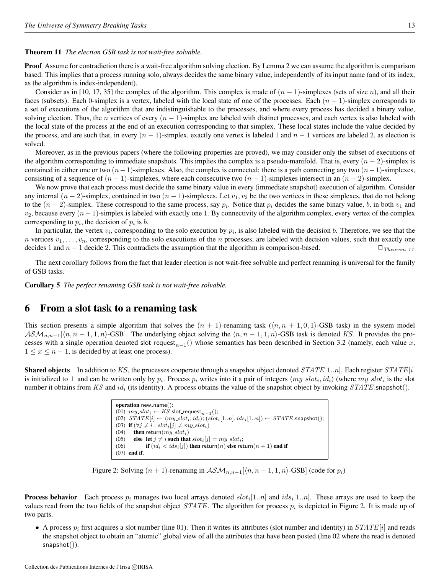#### Theorem 11 *The election GSB task is not wait-free solvable.*

Proof Assume for contradiction there is a wait-free algorithm solving election. By Lemma 2 we can assume the algorithm is comparison based. This implies that a process running solo, always decides the same binary value, independently of its input name (and of its index, as the algorithm is index-independent).

Consider as in [10, 17, 35] the complex of the algorithm. This complex is made of  $(n - 1)$ -simplexes (sets of size n), and all their faces (subsets). Each 0-simplex is a vertex, labeled with the local state of one of the processes. Each  $(n - 1)$ -simplex corresponds to a set of executions of the algorithm that are indistinguishable to the processes, and where every process has decided a binary value, solving election. Thus, the n vertices of every  $(n - 1)$ -simplex are labeled with distinct processes, and each vertex is also labeled with the local state of the process at the end of an execution corresponding to that simplex. These local states include the value decided by the process, and are such that, in every  $(n - 1)$ -simplex, exactly one vertex is labeled 1 and  $n - 1$  vertices are labeled 2, as election is solved.

Moreover, as in the previous papers (where the following properties are proved), we may consider only the subset of executions of the algorithm corresponding to immediate snapshots. This implies the complex is a pseudo-manifold. That is, every  $(n - 2)$ -simplex is contained in either one or two  $(n-1)$ -simplexes. Also, the complex is connected: there is a path connecting any two  $(n-1)$ -simplexes, consisting of a sequence of  $(n - 1)$ -simplexes, where each consecutive two  $(n - 1)$ -simplexes intersect in an  $(n - 2)$ -simplex.

We now prove that each process must decide the same binary value in every (immediate snapshot) execution of algorithm. Consider any internal  $(n-2)$ -simplex, contained in two  $(n-1)$ -simplexes. Let  $v_1, v_2$  be the two vertices in these simplexes, that do not belong to the  $(n-2)$ -simplex. These correspond to the same process, say  $p_i$ . Notice that  $p_i$  decides the same binary value, b, in both  $v_1$  and  $v_2$ , because every  $(n-1)$ -simplex is labeled with exactly one 1. By connectivity of the algorithm complex, every vertex of the complex corresponding to  $p_i$ , the decision of  $p_i$  is b.

In particular, the vertex  $v_i$ , corresponding to the solo execution by  $p_i$ , is also labeled with the decision b. Therefore, we see that the n vertices  $v_1, \ldots, v_n$ , corresponding to the solo executions of the n processes, are labeled with decision values, such that exactly one decides 1 and  $n - 1$  decide 2. This contradicts the assumption that the algorithm is comparison-based.  $\Box_{Theorem 11}$ 

The next corollary follows from the fact that leader election is not wait-free solvable and perfect renaming is universal for the family of GSB tasks.

Corollary 5 *The perfect renaming GSB task is not wait-free solvable.*

## 6 From a slot task to a renaming task

This section presents a simple algorithm that solves the  $(n + 1)$ -renaming task  $(\langle n, n + 1, 0, 1 \rangle$ -GSB task) in the system model  $\mathcal{ASM}_{n,n-1}[\langle n,n-1,1,n\rangle-\text{GSB}]$ . The underlying object solving the  $\langle n,n-1,1,n\rangle-\text{GSB}$  task is denoted KS. It provides the processes with a single operation denoted slot\_request<sub>n−1</sub>() whose semantics has been described in Section 3.2 (namely, each value x,  $1 \leq x \leq n-1$ , is decided by at least one process).

**Shared objects** In addition to KS, the processes cooperate through a snapshot object denoted  $STATE[1..n]$ . Each register  $STATE[i]$ is initialized to  $\perp$  and can be written only by  $p_i$ . Process  $p_i$  writes into it a pair of integers  $\langle my_slot_i, id_i \rangle$  (where  $my_slot_i$  is the slot number it obtains from KS and  $id_i$  (its identity). A process obtains the value of the snapshot object by invoking  $STATE$ .snapshot().

| operation $new_name()$ :                                                                                                      |
|-------------------------------------------------------------------------------------------------------------------------------|
| (01) $my\_slot_i \leftarrow KS$ .slot_request <sub>n-1</sub> ();                                                              |
| (02) $STATE[i] \leftarrow \langle my\_slot_i, id_i \rangle$ ; $(slot_i[1n],ids_i[1n]) \leftarrow STATE\mathsf{.snapshot}$ (); |
| (03) if $(\forall j \neq i : slot_i[j] \neq my_slot_i)$                                                                       |
| <b>then</b> return( $my\_slot_i$ )<br>(04)                                                                                    |
| else let $j \neq i$ such that $slot_i[j] = my\_slot_i$ ;<br>(05)                                                              |
| <b>if</b> $(id_i \lt id_{s_i}[j])$ then return(n) else return(n + 1) end if<br>(06)                                           |
| $(07)$ end if.                                                                                                                |

Figure 2: Solving  $(n + 1)$ -renaming in  $\mathcal{ASM}_{n,n-1}[\langle n, n-1, 1, n \rangle$ -GSB] (code for  $p_i$ )

**Process behavior** Each process  $p_i$  manages two local arrays denoted  $slot_i[1..n]$  and  $ids_i[1..n]$ . These arrays are used to keep the values read from the two fields of the snapshot object  $STATE$ . The algorithm for process  $p_i$  is depicted in Figure 2. It is made up of two parts.

• A process  $p_i$  first acquires a slot number (line 01). Then it writes its attributes (slot number and identity) in  $STATE[i]$  and reads the snapshot object to obtain an "atomic" global view of all the attributes that have been posted (line 02 where the read is denoted snapshot()).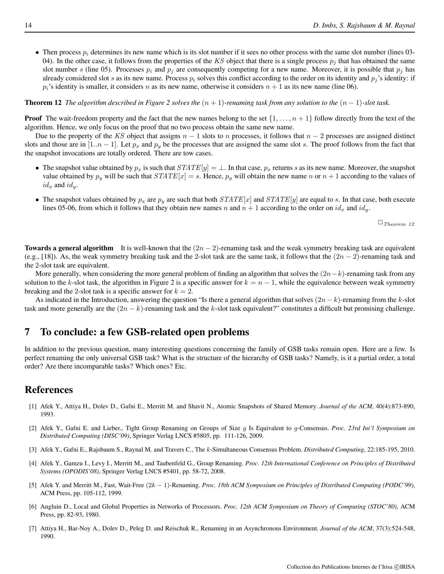• Then process  $p_i$  determines its new name which is its slot number if it sees no other process with the same slot number (lines 03-04). In the other case, it follows from the properties of the KS object that there is a single process  $p_i$  that has obtained the same slot number s (line 05). Processes  $p_i$  and  $p_j$  are consequently competing for a new name. Moreover, it is possible that  $p_j$  has already considered slot s as its new name. Process  $p_i$  solves this conflict according to the order on its identity and  $p_i$ 's identity: if  $p_i$ 's identity is smaller, it considers n as its new name, otherwise it considers  $n + 1$  as its new name (line 06).

**Theorem 12** *The algorithm described in Figure 2 solves the*  $(n + 1)$ -renaming task from any solution to the  $(n - 1)$ -slot task.

**Proof** The wait-freedom property and the fact that the new names belong to the set  $\{1, \ldots, n+1\}$  follow directly from the text of the algorithm. Hence, we only focus on the proof that no two process obtain the same new name.

Due to the property of the KS object that assigns  $n - 1$  slots to n processes, it follows that  $n - 2$  processes are assigned distinct slots and those are in [1.. $n-1$ ]. Let  $p_x$  and  $p_y$  be the processes that are assigned the same slot s. The proof follows from the fact that the snapshot invocations are totally ordered. There are tow cases.

- The snapshot value obtained by  $p_x$  is such that  $STATE[y] = \perp$ . In that case,  $p_x$  returns s as its new name. Moreover, the snapshot value obtained by  $p_y$  will be such that  $STATE[x] = s$ . Hence,  $p_y$  will obtain the new name n or  $n + 1$  according to the values of  $id_x$  and  $id_y$ .
- The snapshot values obtained by  $p_x$  are  $p_y$  are such that both  $STATE[x]$  and  $STATE[y]$  are equal to s. In that case, both execute lines 05-06, from which it follows that they obtain new names n and  $n + 1$  according to the order on  $id_x$  and  $id_y$ .

 $\Box$  Theorem 12

**Towards a general algorithm** It is well-known that the  $(2n - 2)$ -renaming task and the weak symmetry breaking task are equivalent (e.g., [18]). As, the weak symmetry breaking task and the 2-slot task are the same task, it follows that the  $(2n - 2)$ -renaming task and the 2-slot task are equivalent.

More generally, when considering the more general problem of finding an algorithm that solves the  $(2n-k)$ -renaming task from any solution to the k-slot task, the algorithm in Figure 2 is a specific answer for  $k = n - 1$ , while the equivalence between weak symmetry breaking and the 2-slot task is a specific answer for  $k = 2$ .

As indicated in the Introduction, answering the question "Is there a general algorithm that solves  $(2n - k)$ -renaming from the k-slot task and more generally are the  $(2n - k)$ -renaming task and the k-slot task equivalent?" constitutes a difficult but promising challenge.

# 7 To conclude: a few GSB-related open problems

In addition to the previous question, many interesting questions concerning the family of GSB tasks remain open. Here are a few. Is perfect renaming the only universal GSB task? What is the structure of the hierarchy of GSB tasks? Namely, is it a partial order, a total order? Are there incomparable tasks? Which ones? Etc.

# References

- [1] Afek Y., Attiya H., Dolev D., Gafni E., Merritt M. and Shavit N., Atomic Snapshots of Shared Memory. *Journal of the ACM*, 40(4):873-890, 1993.
- [2] Afek Y., Gafni E. and Lieber., Tight Group Renaming on Groups of Size g Is Equivalent to g-Consensus. *Proc. 23rd Int'l Symposium on Distributed Computing (DISC'09)*, Springer Verlag LNCS #5805, pp. 111-126, 2009.
- [3] Afek Y., Gafni E., Rajsbaum S., Raynal M. and Travers C., The k-Simultaneous Consensus Problem. *Distributed Computing*, 22:185-195, 2010.
- [4] Afek Y., Gamzu I., Levy I., Merritt M., and Taubenfeld G., Group Renaming. *Proc. 12th International Conference on Principles of Distributed Systems (OPODIS'08)*, Springer Verlag LNCS #5401, pp. 58-72, 2008.
- [5] Afek Y. and Merritt M., Fast, Wait-Free (2k − 1)-Renaming. *Proc. 18th ACM Symposium on Principles of Distributed Computing (PODC'99)*, ACM Press, pp. 105-112, 1999.
- [6] Angluin D., Local and Global Properties in Networks of Processors. *Proc. 12th ACM Symposium on Theory of Computing (STOC'80)*, ACM Press, pp. 82-93, 1980.
- [7] Attiya H., Bar-Noy A., Dolev D., Peleg D. and Reischuk R., Renaming in an Asynchronous Environment. *Journal of the ACM*, 37(3):524-548, 1990.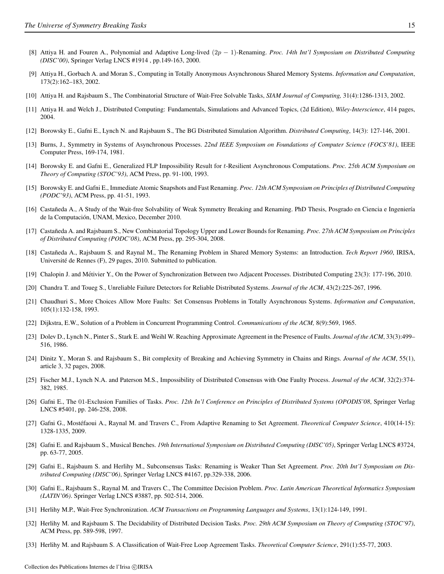- [8] Attiya H. and Fouren A., Polynomial and Adaptive Long-lived (2p − 1)-Renaming. *Proc. 14th Int'l Symposium on Distributed Computing (DISC'00)*, Springer Verlag LNCS #1914 , pp.149-163, 2000.
- [9] Attiya H., Gorbach A. and Moran S., Computing in Totally Anonymous Asynchronous Shared Memory Systems. *Information and Computation*, 173(2):162–183, 2002.
- [10] Attiya H. and Rajsbaum S., The Combinatorial Structure of Wait-Free Solvable Tasks, *SIAM Journal of Computing,* 31(4):1286-1313, 2002.
- [11] Attiya H. and Welch J., Distributed Computing: Fundamentals, Simulations and Advanced Topics, (2d Edition), *Wiley-Interscience*, 414 pages, 2004.
- [12] Borowsky E., Gafni E., Lynch N. and Rajsbaum S., The BG Distributed Simulation Algorithm. *Distributed Computing*, 14(3): 127-146, 2001.
- [13] Burns, J., Symmetry in Systems of Asynchronous Processes. *22nd IEEE Symposium on Foundations of Computer Science (FOCS'81)*, IEEE Computer Press, 169-174, 1981.
- [14] Borowsky E. and Gafni E., Generalized FLP Impossibility Result for t-Resilient Asynchronous Computations. *Proc. 25th ACM Symposium on Theory of Computing (STOC'93)*, ACM Press, pp. 91-100, 1993.
- [15] Borowsky E. and Gafni E., Immediate Atomic Snapshots and Fast Renaming. *Proc. 12th ACM Symposium on Principles of Distributed Computing (PODC'93)*, ACM Press, pp. 41-51, 1993.
- [16] Castañeda A., A Study of the Wait-free Solvability of Weak Symmetry Breaking and Renaming. PhD Thesis, Posgrado en Ciencia e Ingeniería de la Computación, UNAM, Mexico, December 2010.
- [17] Castañeda A. and Rajsbaum S., New Combinatorial Topology Upper and Lower Bounds for Renaming. Proc. 27th ACM Symposium on Principles *of Distributed Computing (PODC'08)*, ACM Press, pp. 295-304, 2008.
- [18] Castañeda A., Rajsbaum S. and Raynal M., The Renaming Problem in Shared Memory Systems: an Introduction. Tech Report 1960, IRISA, Université de Rennes (F), 29 pages, 2010. Submitted to publication.
- [19] Chalopin J. and Metivier Y., On the Power of Synchronization Between two Adjacent Processes. Distributed Computing 23(3): 177-196, 2010. ´
- [20] Chandra T. and Toueg S., Unreliable Failure Detectors for Reliable Distributed Systems. *Journal of the ACM*, 43(2):225-267, 1996.
- [21] Chaudhuri S., More Choices Allow More Faults: Set Consensus Problems in Totally Asynchronous Systems. *Information and Computation*, 105(1):132-158, 1993.
- [22] Dijkstra, E.W., Solution of a Problem in Concurrent Programming Control. *Communications of the ACM,* 8(9):569, 1965.
- [23] Dolev D., Lynch N., Pinter S., Stark E. and Weihl W. Reaching Approximate Agreement in the Presence of Faults. *Journal of the ACM*, 33(3):499– 516, 1986.
- [24] Dinitz Y., Moran S. and Rajsbaum S., Bit complexity of Breaking and Achieving Symmetry in Chains and Rings. *Journal of the ACM*, 55(1), article 3, 32 pages, 2008.
- [25] Fischer M.J., Lynch N.A. and Paterson M.S., Impossibility of Distributed Consensus with One Faulty Process. *Journal of the ACM*, 32(2):374- 382, 1985.
- [26] Gafni E., The 01-Exclusion Families of Tasks. *Proc. 12th In'l Conference on Principles of Distributed Systems (OPODIS'08*, Springer Verlag LNCS #5401, pp. 246-258, 2008.
- [27] Gafni G., Mostéfaoui A., Raynal M. and Travers C., From Adaptive Renaming to Set Agreement. *Theoretical Computer Science*, 410(14-15): 1328-1335, 2009.
- [28] Gafni E. and Rajsbaum S., Musical Benches. *19th International Symposium on Distributed Computing (DISC'05)*, Springer Verlag LNCS #3724, pp. 63-77, 2005.
- [29] Gafni E., Rajsbaum S. and Herlihy M., Subconsensus Tasks: Renaming is Weaker Than Set Agreement. *Proc. 20th Int'l Symposium on Distributed Computing (DISC'06)*, Springer Verlag LNCS #4167, pp.329-338, 2006.
- [30] Gafni E., Rajsbaum S., Raynal M. and Travers C., The Committee Decision Problem. *Proc. Latin American Theoretical Informatics Symposium (LATIN'06)*. Springer Verlag LNCS #3887, pp. 502-514, 2006.
- [31] Herlihy M.P., Wait-Free Synchronization. *ACM Transactions on Programming Languages and Systems*, 13(1):124-149, 1991.
- [32] Herlihy M. and Rajsbaum S. The Decidability of Distributed Decision Tasks. *Proc. 29th ACM Symposium on Theory of Computing (STOC'97)*, ACM Press, pp. 589-598, 1997.
- [33] Herlihy M. and Rajsbaum S. A Classification of Wait-Free Loop Agreement Tasks. *Theoretical Computer Science*, 291(1):55-77, 2003.